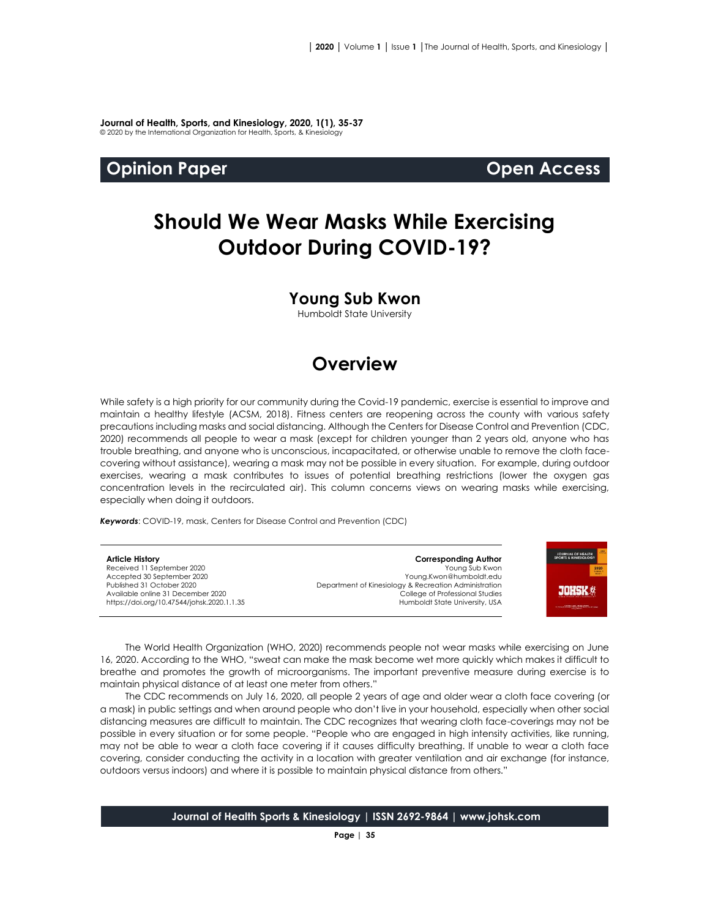**Journal of Health, Sports, and Kinesiology, 2020, 1(1), 35-37** © 2020 by the International Organization for Health, Sports, & Kinesiology

## **Opinion Paper Open Access**

# **Should We Wear Masks While Exercising Outdoor During COVID-19?**

### **Young Sub Kwon**

Humboldt State University

## **Overview**

While safety is a high priority for our community during the Covid-19 pandemic, exercise is essential to improve and maintain a healthy lifestyle (ACSM, 2018). Fitness centers are reopening across the county with various safety precautions including masks and social distancing. Although the Centers for Disease Control and Prevention (CDC, 2020) recommends all people to wear a mask (except for children younger than 2 years old, anyone who has trouble breathing, and anyone who is unconscious, incapacitated, or otherwise unable to remove the cloth facecovering without assistance), wearing a mask may not be possible in every situation. For example, during outdoor exercises, wearing a mask contributes to issues of potential breathing restrictions (lower the oxygen gas concentration levels in the recirculated air). This column concerns views on wearing masks while exercising, especially when doing it outdoors.

*Keywords*: COVID-19, mask, Centers for Disease Control and Prevention (CDC)

**Article History** Received 11 September 2020 Accepted 30 September 2020 Published 31 October 2020 Available online 31 December 2020 [https://doi.org/10.47544/johsk.2020.1.1.3](https://doi.org/10.47544/johsk.2020.1.1.9)5

**Corresponding Author** Young Sub Kwon Young.Kwon@humboldt.edu Department of Kinesiology & Recreation Administration College of Professional Studies Humboldt State University, USA



The World Health Organization (WHO, 2020) recommends people not wear masks while exercising on June 16, 2020. According to the WHO, "sweat can make the mask become wet more quickly which makes it difficult to breathe and promotes the growth of microorganisms. The important preventive measure during exercise is to maintain physical distance of at least one meter from others."

The CDC recommends on July 16, 2020, all people 2 years of age and older wear a cloth face covering (or a mask) in public settings and when around people who don't live in your household, especially when other social distancing measures are difficult to maintain. The CDC recognizes that wearing cloth face-coverings may not be possible in every situation or for some people. "People who are engaged in high intensity activities, like running, may not be able to wear a cloth face covering if it causes difficulty breathing. If unable to wear a cloth face covering, consider conducting the activity in a location with greater ventilation and air exchange (for instance, outdoors versus indoors) and where it is possible to maintain physical distance from others."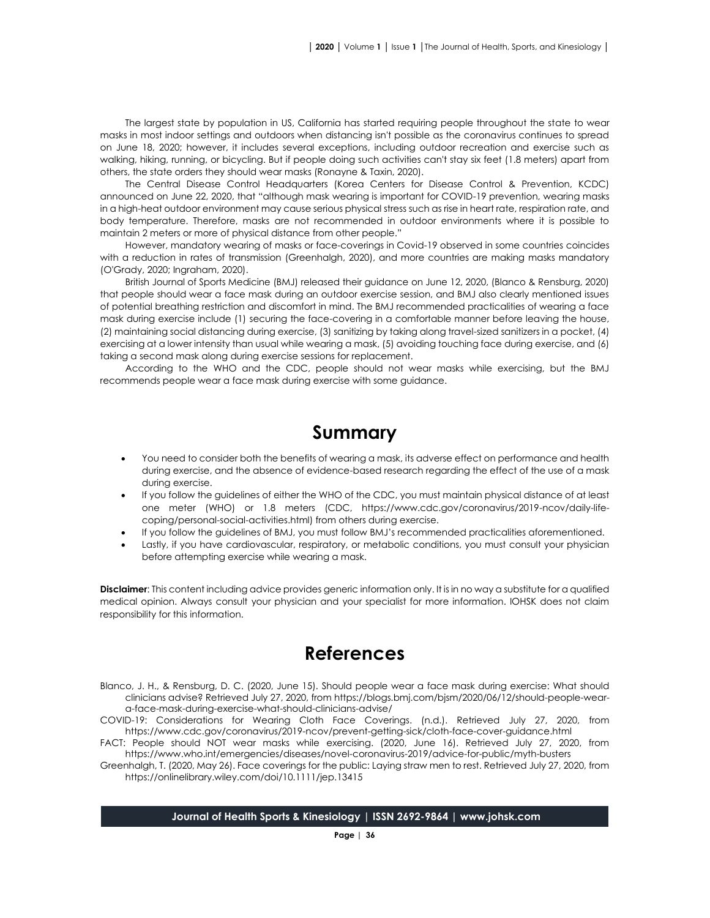The largest state by population in US, California has started requiring people throughout the state to wear masks in most indoor settings and outdoors when distancing isn't possible as the coronavirus continues to spread on June 18, 2020; however, it includes several exceptions, including outdoor recreation and exercise such as walking, hiking, running, or bicycling. But if people doing such activities can't stay six feet (1.8 meters) apart from others, the state orders they should wear masks (Ronayne & Taxin, 2020).

The Central Disease Control Headquarters (Korea Centers for Disease Control & Prevention, KCDC) announced on June 22, 2020, that "although mask wearing is important for COVID-19 prevention, wearing masks in a high-heat outdoor environment may cause serious physical stress such as rise in heart rate, respiration rate, and body temperature. Therefore, masks are not recommended in outdoor environments where it is possible to maintain 2 meters or more of physical distance from other people."

However, mandatory wearing of masks or face-coverings in Covid-19 observed in some countries coincides with a reduction in rates of transmission (Greenhalgh, 2020), and more countries are making masks mandatory (O'Grady, 2020; Ingraham, 2020).

British Journal of Sports Medicine (BMJ) released their guidance on June 12, 2020, (Blanco & Rensburg, 2020) that people should wear a face mask during an outdoor exercise session, and BMJ also clearly mentioned issues of potential breathing restriction and discomfort in mind. The BMJ recommended practicalities of wearing a face mask during exercise include (1) securing the face-covering in a comfortable manner before leaving the house, (2) maintaining social distancing during exercise, (3) sanitizing by taking along travel-sized sanitizers in a pocket, (4) exercising at a lower intensity than usual while wearing a mask, (5) avoiding touching face during exercise, and (6) taking a second mask along during exercise sessions for replacement.

According to the WHO and the CDC, people should not wear masks while exercising, but the BMJ recommends people wear a face mask during exercise with some guidance.

## **Summary**

- You need to consider both the benefits of wearing a mask, its adverse effect on performance and health during exercise, and the absence of evidence-based research regarding the effect of the use of a mask during exercise.
- If you follow the guidelines of either the WHO of the CDC, you must maintain physical distance of at least one meter (WHO) or 1.8 meters (CDC, https://www.cdc.gov/coronavirus/2019-ncov/daily-lifecoping/personal-social-activities.html) from others during exercise.
- If you follow the guidelines of BMJ, you must follow BMJ's recommended practicalities aforementioned.
- Lastly, if you have cardiovascular, respiratory, or metabolic conditions, you must consult your physician before attempting exercise while wearing a mask.

**Disclaimer**: This content including advice provides generic information only. It is in no way a substitute for a qualified medical opinion. Always consult your physician and your specialist for more information. IOHSK does not claim responsibility for this information.

## **References**

- Blanco, J. H., & Rensburg, D. C. (2020, June 15). Should people wear a face mask during exercise: What should clinicians advise? Retrieved July 27, 2020, fro[m https://blogs.bmj.com/bjsm/2020/06/12/should-people-wear](https://blogs.bmj.com/bjsm/2020/06/12/should-people-wear-)a-face-mask-during-exercise-what-should-clinicians-advise/
- COVID-19: Considerations for Wearing Cloth Face Coverings. (n.d.). Retrieved July 27, 2020, from <https://www.cdc.gov/coronavirus/2019-ncov/prevent-getting-sick/cloth-face-cover-guidance.html>
- FACT: People should NOT wear masks while exercising. (2020, June 16). Retrieved July 27, 2020, from <https://www.who.int/emergencies/diseases/novel-coronavirus-2019/advice-for-public/myth-busters>
- Greenhalgh, T. (2020, May 26). Face coverings for the public: Laying straw men to rest. Retrieved July 27, 2020, from <https://onlinelibrary.wiley.com/doi/10.1111/jep.13415>

#### **Journal of Health Sports & Kinesiology | ISSN 2692-9864 | www.johsk.com**